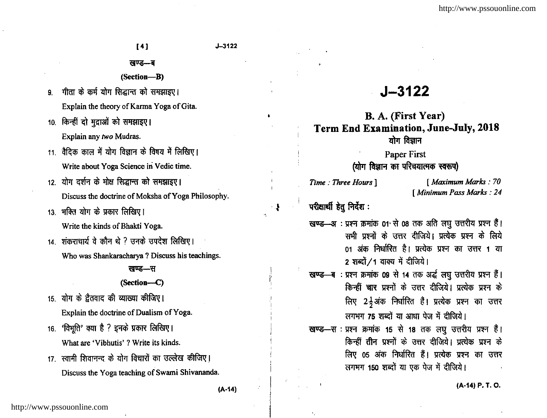### खण्ड—ब

- (Section-B)
- 9. गीता के कर्म योग सिद्धान्त को समझाइए। Explain the theory of Karma Yoga of Gita.
- 10. किन्हीं दो मुद्राओं को समझाइए। Explain any two Mudras.
- $11 -$ वैदिक काल में योग विज्ञान के विषय में लिखिए। Write about Yoga Science in Vedic time.
- 12. योग दर्शन के मोक्ष सिद्धान्त को समझाइए। Discuss the doctrine of Moksha of Yoga Philosophy.
- 13. भक्ति योग के प्रकार लिखिए। Write the kinds of Bhakti Yoga.
- 14 शंकराचार्य वे कौन थे ? उनके उपदेश लिखिए। Who was Shankaracharya ? Discuss his teachings.

#### खण्ड—स

#### (Section--C)

- 15. योग के ट्वैतवाद की व्याख्या कीजिए। Explain the doctrine of Dualism of Yoga.
- 16. 'विभुति' क्या है ? इनके प्रकार लिखिए। What are 'Vibhutis' ? Write its kinds.
- 17. स्वामी शिवानन्द के योग विचारों का उल्लेख कीजिए। Discuss the Yoga teaching of Swami Shivananda.

# J-3122

# B. A. (First Year) Term End Examination, June-July, 2018  $\overline{u}$ ग विज्ञान

# Paper First (योग विज्ञान का परिचयात्मक स्वरूप)

परीक्षार्थी हेतु निर्देश :

 $\bullet$ 

 $\mathbf{1}$ 

- खण्ड—अः प्रश्न क्रमांक 01<sup>,</sup> से 08 तक अति लघु उत्तरीय प्रश्न हैं। सभी प्रश्नों के उत्तर दीजिये। प्रत्येक प्रश्न के लिये 01 अंक निर्धारित है। प्रत्येक प्रश्न का उत्तर 1 या 2 शब्दों / 1 वाक्य में दीजिये।
- खण्ड—ब : प्रश्न क्रमांक 09 से 14 तक अर्द्ध लघु उत्तरीय प्रश्न हैं। किन्हीं चार प्रश्नों के उत्तर दीजिये। प्रत्येक प्रश्न के लिए 2<sup>1</sup> अंक निर्धारित हैं। प्रत्येक प्रश्न का उत्तर लगभग 75 शब्दों या आधा पेज में दीजिये।
- खण्ड—स : प्रश्न *क्र*मांक 15 से 18 तक लघु उत्तरीय प्रश्न हैं। किन्हीं तीन प्रश्नों के उत्तर दीजिये। प्रत्येक प्रश्न के लिए 05 अंक निर्धारित हैं। प्रत्येक प्रश्न का उत्तर लगभग 150 शब्दों या एक पेज में दीजिये।

(A-r4) P. r. O.

Time : Three Hours | [ Maximum Marks : <sup>70</sup> I Minimum Pass Marks : 24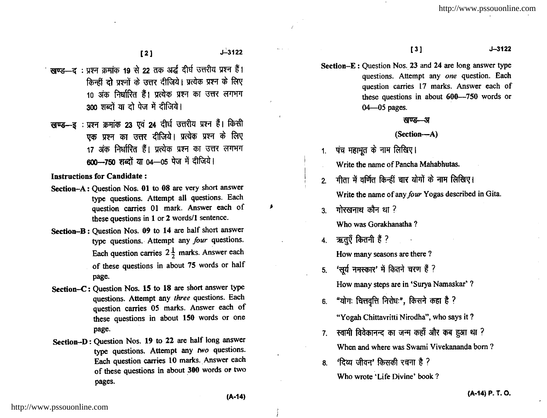$l^2$   $l^2$   $l^2$   $l^2$   $l^2$   $l^2$   $l^2$   $l^2$   $l^2$   $l^2$   $l^2$   $l^2$   $l^2$   $l^2$   $l^2$   $l^2$   $l^2$   $l^2$   $l^2$   $l^2$   $l^2$   $l^2$   $l^2$   $l^2$   $l^2$   $l^2$   $l^2$   $l^2$   $l^2$   $l^2$   $l^2$   $l^2$   $l^2$   $l^2$   $l^2$   $l^2$   $l^2$ 

- स्वण्ड-द: प्रश्न क्रमांक 19 से 22 तक अर्द्ध दीर्घ उत्तरीय प्रश्न हैं। किन्हीं दो पश्नों के सत्तर दीजिये। प्रत्येक प्रश्न के लिए 10 अंक निर्धारित हैं। प्रत्येक प्रश्न का उत्तर लगभग 300 शब्दों या दो पेज में दीजिये।
- खण्ड-ड : प्रश्न क्रमांक 23 एवं 24 दीर्घ उत्तरीय प्रश्न हैं। किसी एक प्रश्न का उत्तर दीजिये। प्रत्येक प्रश्न के लिए 17 अंक निर्धारित हैं। प्रत्येक प्रश्न का उत्तर लगभग 600-750 शब्दों या 04-05 पेज में दीजिये।

Instructions for Candidate :

- Section-A: Question Nos, 0l to 08 are very short answer type questions. Attempt all questions. Each question carries 0l mark. Answer each of these questions in 1 or 2 words/1 sentence.
- Section-B: Question Nos. 09 to 14 are half short answer type questions. Attempt any four questions. Each question carries  $2\frac{1}{2}$  marks. Answer each of these questions in about 75 words or half page.
- Section-C: Question Nos. 15 to 18 are short answer type questions. Attempt any three questions. Each question carries 05 marks. Answer each of these questions in about 150 words or one page.
- Section-D: Question Nos. 19 to 22 are half long answer type questions. Attempt any  $two$  questions. Each question carries l0 marks. Answer each of these questions in about 300 words or two pages.

131 J-3122

Section- $E$ : Question Nos. 23 and 24 are long answer type questions. Attempt any one question. Each question carries 17 marks. Answer each of these questions in about 600--750 words or 04-05 pages.

#### रवण्ड—अ

#### (Section-A)

1. पंच महाभूत के नाम लिखिए।

Write the name of Pancha Mahabhutas.

- 2. गीता में वर्णित किन्हीं चार योगों के नाम लिखिए। Write the name of any four Yogas described in Gita.
- $3$  गोरखनाथ कौन था ? Who was Gorakhanatha ?
- 4. ऋतुएँ कितनी हैं ? How many seasons are there ?
- 5. 'सूर्य नमस्कार' में कितने चरण हैं ? How many steps are in 'Surya Namaskar' ?
- 6. "योगः चित्तवृत्ति निरोधः", किसने कहा है ?

"Yogah Chittavritti Nirodha", who says it ?

- $7.$  स्वामी विवेकानन्द का जन्म कहाँ और कब हुआ था ? When and where was Swami Vivekananda born ?
- $8.$  'दिव्य जीवन' किसकी रचना है ? Who wrote'Life Divine' book ?

,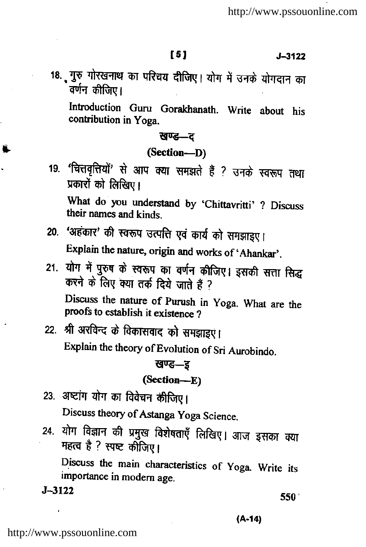$\sqrt{5}$  J-3122

18. पुरु गोरखनाथ का परिचय दीजिए। योग में उनके योगदान का<br>वर्णन कीजिए।

Introduction Guru Gorakhanath. Write about his contribution in yoga.

खण्ड-द

(Section\_D)

19. 'चित्तवृत्तियों' से आप क्या समझते हैं ? उनके स्वरूप तथा प्रकारों को लिखिए।

What do you understand by 'Chittavritti' ? Discuss their names and kinds.

20. 'अहंकार' की स्वरूप उत्पत्ति एवं कार्य को समझाइए।

Explain the nature, origin and works of 'Ahankar'.

21. योग में पुरुष के स्वरूप का वर्णन कीजिए। इसकी सत्ता सिद्ध<br>करने के लिए क्या तर्क दिये जाते हैं ? Discuss the nature of Purush in Yoga. What are the proofs to establish it existence ?

22. श्री अरविन्द के विकासवाद को समझाइएं। Explain the theory of Evolution of Sri Aurobindo.

# खण्ड—इ

## (Section\_E)

- 23. अष्टांग योग का विवेचन कीजिए। Discuss theory of Astanga yoga Science.
- 24. योग विज्ञान की प्रमुख विशेषताएँ लिखिए। आज इसका क्या<br>महत्व है ? स्पष्ट कीजिए।

Discuss the main characteristics of yoga. Write its importance in modem age.  $J-3122$  550'

(A-14)